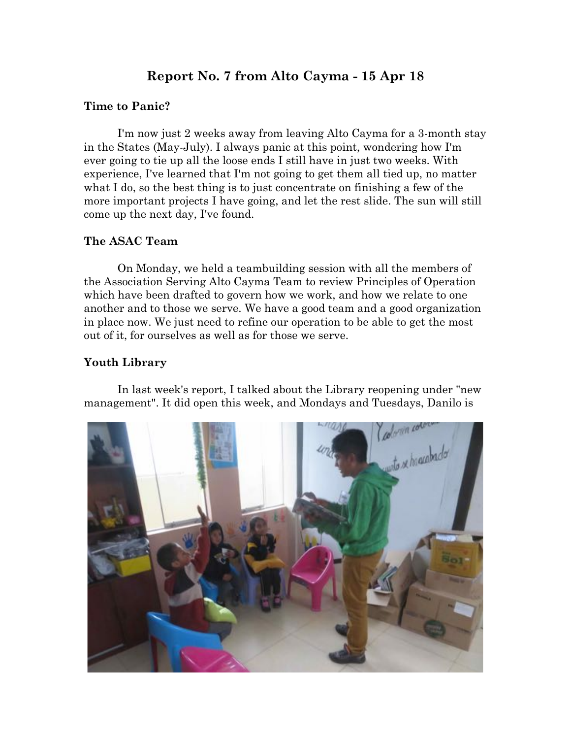# **Report No. 7 from Alto Cayma - 15 Apr 18**

#### **Time to Panic?**

I'm now just 2 weeks away from leaving Alto Cayma for a 3-month stay in the States (May-July). I always panic at this point, wondering how I'm ever going to tie up all the loose ends I still have in just two weeks. With experience, I've learned that I'm not going to get them all tied up, no matter what I do, so the best thing is to just concentrate on finishing a few of the more important projects I have going, and let the rest slide. The sun will still come up the next day, I've found.

#### **The ASAC Team**

On Monday, we held a teambuilding session with all the members of the Association Serving Alto Cayma Team to review Principles of Operation which have been drafted to govern how we work, and how we relate to one another and to those we serve. We have a good team and a good organization in place now. We just need to refine our operation to be able to get the most out of it, for ourselves as well as for those we serve.

## **Youth Library**

In last week's report, I talked about the Library reopening under "new management". It did open this week, and Mondays and Tuesdays, Danilo is

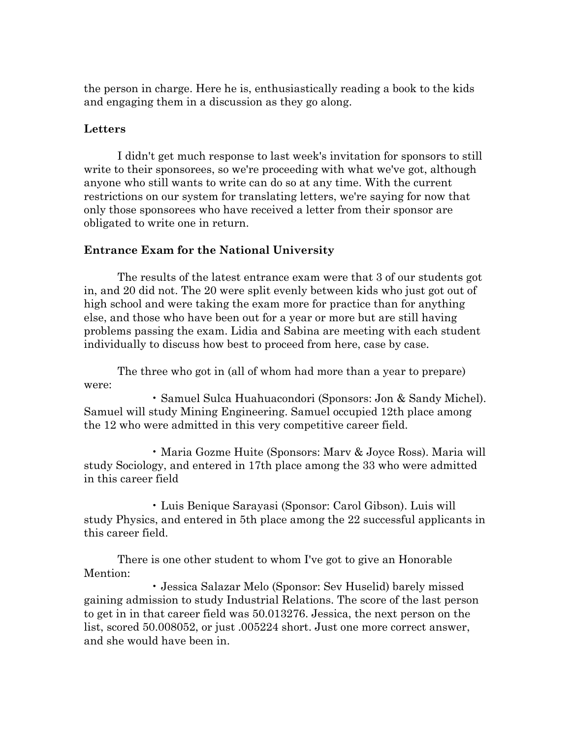the person in charge. Here he is, enthusiastically reading a book to the kids and engaging them in a discussion as they go along.

#### **Letters**

I didn't get much response to last week's invitation for sponsors to still write to their sponsorees, so we're proceeding with what we've got, although anyone who still wants to write can do so at any time. With the current restrictions on our system for translating letters, we're saying for now that only those sponsorees who have received a letter from their sponsor are obligated to write one in return.

## **Entrance Exam for the National University**

The results of the latest entrance exam were that 3 of our students got in, and 20 did not. The 20 were split evenly between kids who just got out of high school and were taking the exam more for practice than for anything else, and those who have been out for a year or more but are still having problems passing the exam. Lidia and Sabina are meeting with each student individually to discuss how best to proceed from here, case by case.

The three who got in (all of whom had more than a year to prepare) were:

• Samuel Sulca Huahuacondori (Sponsors: Jon & Sandy Michel). Samuel will study Mining Engineering. Samuel occupied 12th place among the 12 who were admitted in this very competitive career field.

• Maria Gozme Huite (Sponsors: Marv & Joyce Ross). Maria will study Sociology, and entered in 17th place among the 33 who were admitted in this career field

• Luis Benique Sarayasi (Sponsor: Carol Gibson). Luis will study Physics, and entered in 5th place among the 22 successful applicants in this career field.

There is one other student to whom I've got to give an Honorable Mention:

• Jessica Salazar Melo (Sponsor: Sev Huselid) barely missed gaining admission to study Industrial Relations. The score of the last person to get in in that career field was 50.013276. Jessica, the next person on the list, scored 50.008052, or just .005224 short. Just one more correct answer, and she would have been in.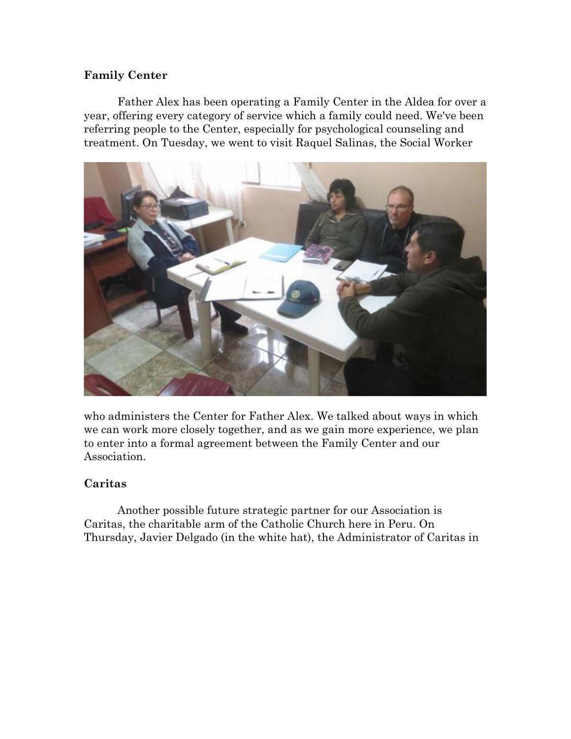## **Family Center**

Father Alex has been operating a Family Center in the Aldea for over a year, offering every category of service which a family could need. We've been referring people to the Center, especially for psychological counseling and treatment. On Tuesday, we went to visit Raquel Salinas, the Social Worker



who administers the Center for Father Alex. We talked about ways in which we can work more closely together, and as we gain more experience, we plan to enter into a formal agreement between the Family Center and our Association.

## **Caritas**

Another possible future strategic partner for our Association is Caritas, the charitable arm of the Catholic Church here in Peru. On Thursday, Javier Delgado (in the white hat), the Administrator of Caritas in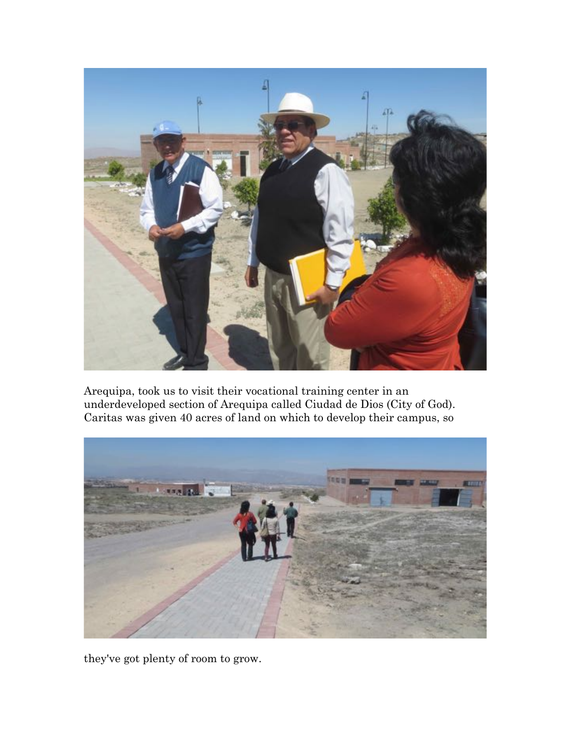

Arequipa, took us to visit their vocational training center in an underdeveloped section of Arequipa called Ciudad de Dios (City of God). Caritas was given 40 acres of land on which to develop their campus, so



they've got plenty of room to grow.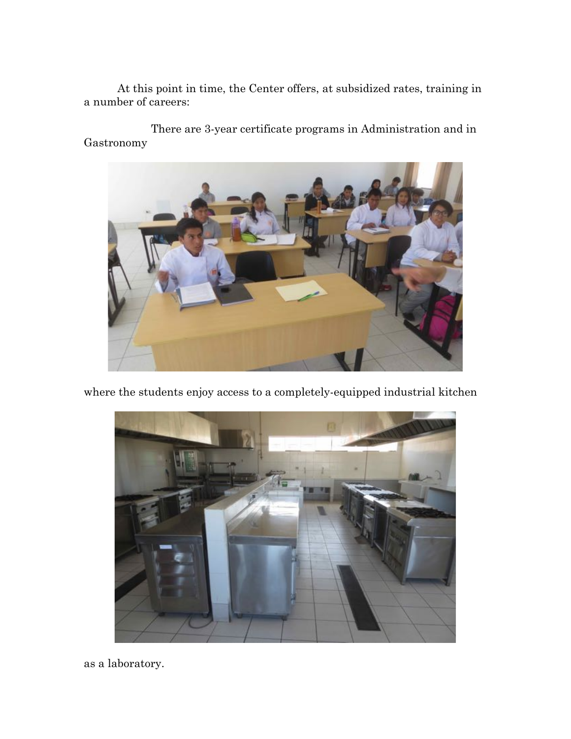At this point in time, the Center offers, at subsidized rates, training in a number of careers:

There are 3-year certificate programs in Administration and in Gastronomy



where the students enjoy access to a completely-equipped industrial kitchen



as a laboratory.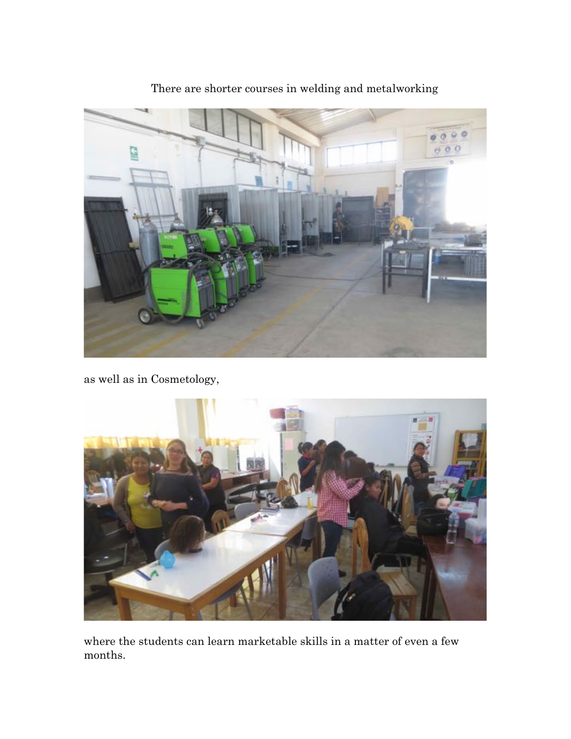

There are shorter courses in welding and metalworking

as well as in Cosmetology,



where the students can learn marketable skills in a matter of even a few months.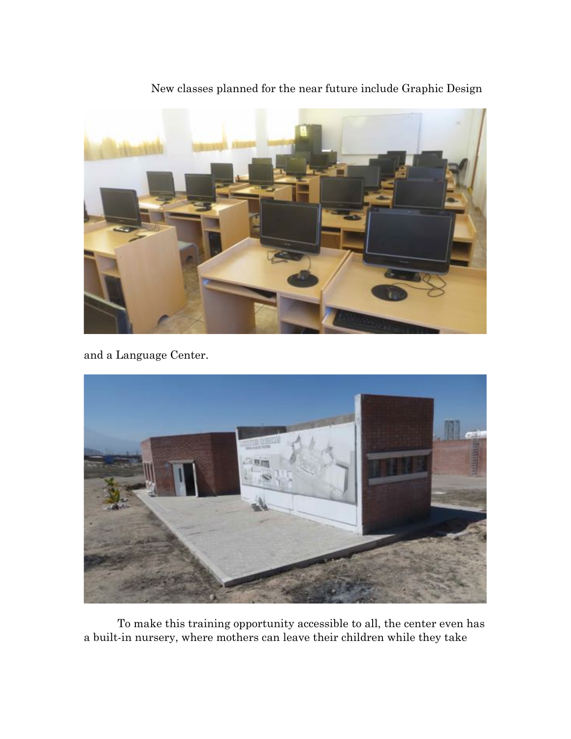

New classes planned for the near future include Graphic Design

and a Language Center.



To make this training opportunity accessible to all, the center even has a built-in nursery, where mothers can leave their children while they take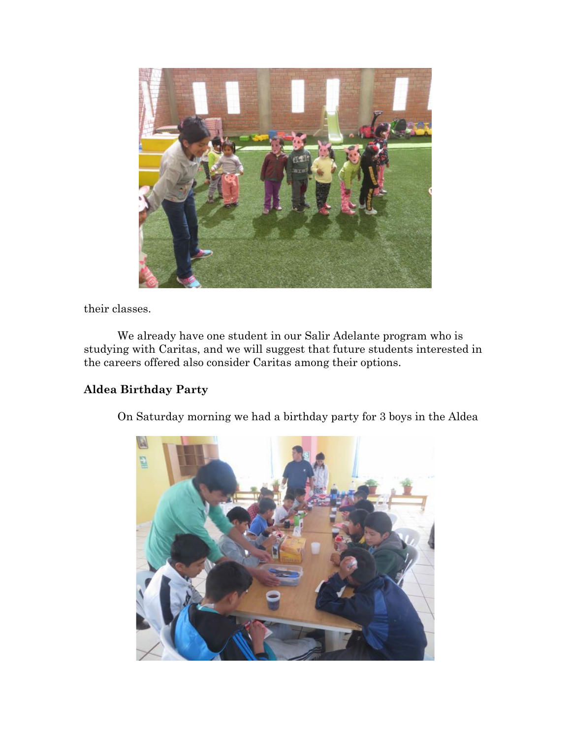

their classes.

We already have one student in our Salir Adelante program who is studying with Caritas, and we will suggest that future students interested in the careers offered also consider Caritas among their options.

# **Aldea Birthday Party**

On Saturday morning we had a birthday party for 3 boys in the Aldea

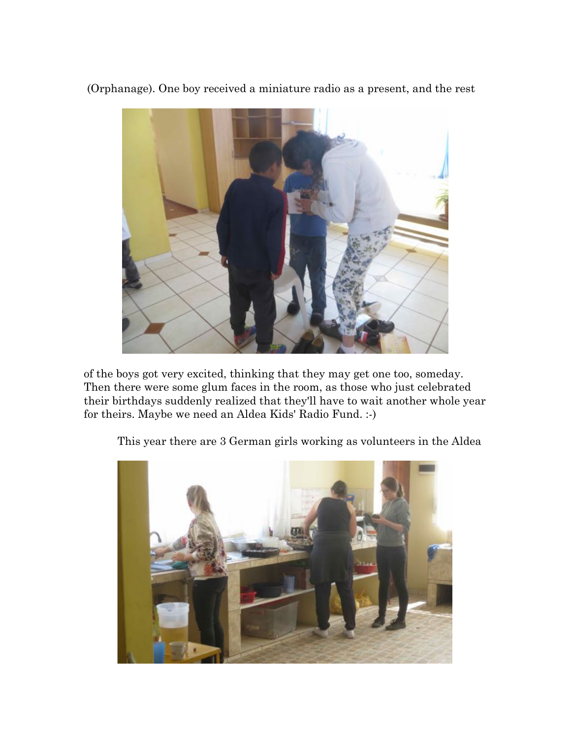(Orphanage). One boy received a miniature radio as a present, and the rest



of the boys got very excited, thinking that they may get one too, someday. Then there were some glum faces in the room, as those who just celebrated their birthdays suddenly realized that they'll have to wait another whole year for theirs. Maybe we need an Aldea Kids' Radio Fund. :-)

This year there are 3 German girls working as volunteers in the Aldea

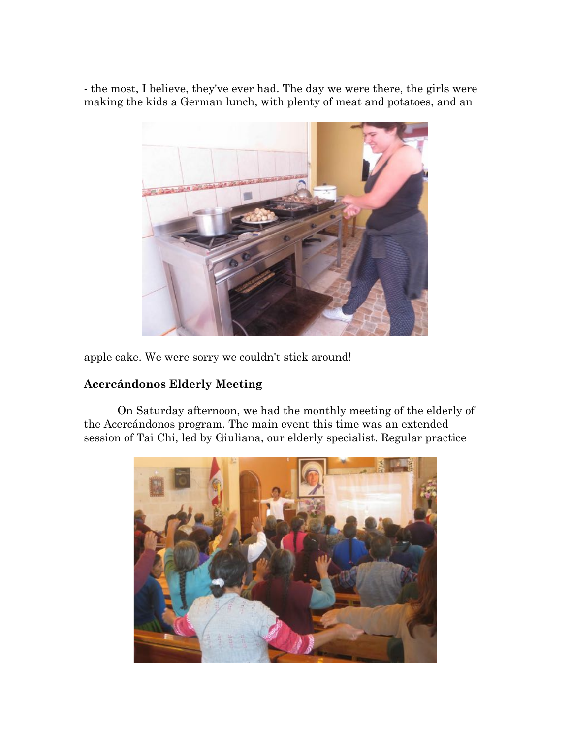- the most, I believe, they've ever had. The day we were there, the girls were making the kids a German lunch, with plenty of meat and potatoes, and an



apple cake. We were sorry we couldn't stick around!

## **Acercándonos Elderly Meeting**

On Saturday afternoon, we had the monthly meeting of the elderly of the Acercándonos program. The main event this time was an extended session of Tai Chi, led by Giuliana, our elderly specialist. Regular practice

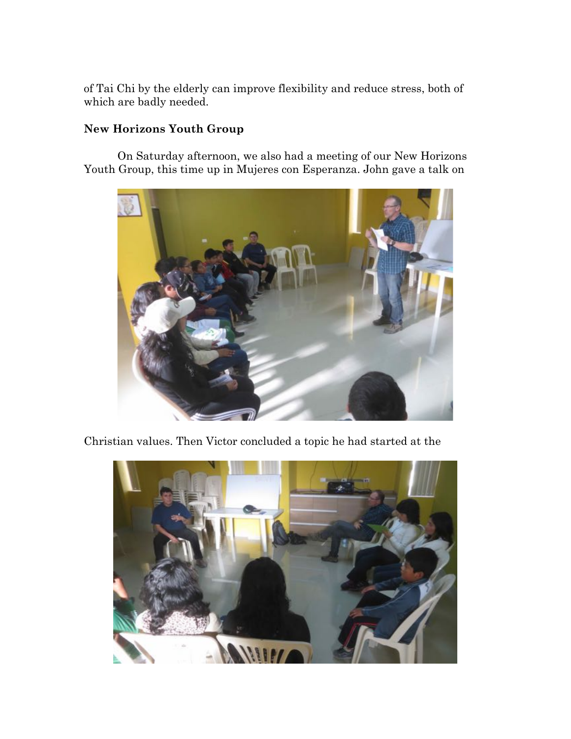of Tai Chi by the elderly can improve flexibility and reduce stress, both of which are badly needed.

## **New Horizons Youth Group**

On Saturday afternoon, we also had a meeting of our New Horizons Youth Group, this time up in Mujeres con Esperanza. John gave a talk on



Christian values. Then Victor concluded a topic he had started at the

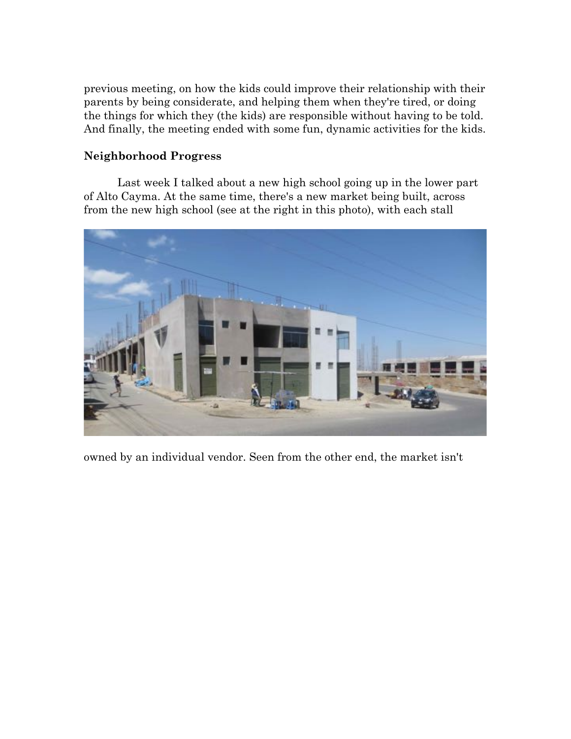previous meeting, on how the kids could improve their relationship with their parents by being considerate, and helping them when they're tired, or doing the things for which they (the kids) are responsible without having to be told. And finally, the meeting ended with some fun, dynamic activities for the kids.

## **Neighborhood Progress**

Last week I talked about a new high school going up in the lower part of Alto Cayma. At the same time, there's a new market being built, across from the new high school (see at the right in this photo), with each stall



owned by an individual vendor. Seen from the other end, the market isn't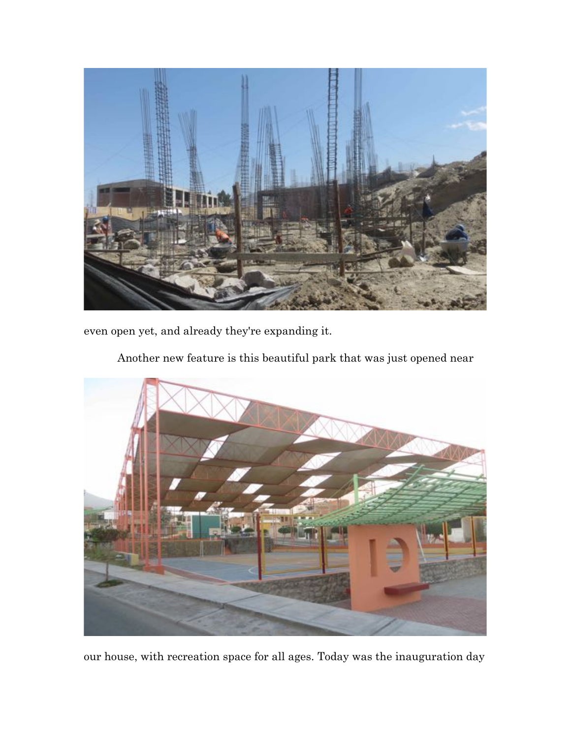

even open yet, and already they're expanding it.

Another new feature is this beautiful park that was just opened near



our house, with recreation space for all ages. Today was the inauguration day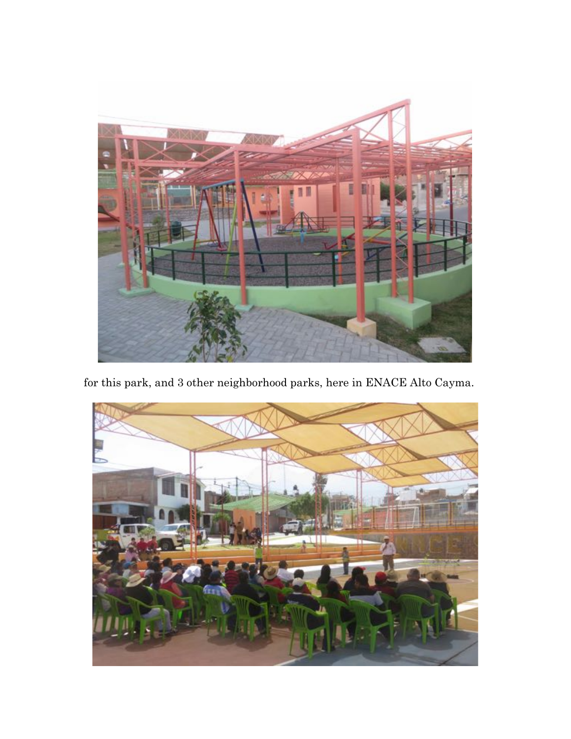

for this park, and 3 other neighborhood parks, here in ENACE Alto Cayma.

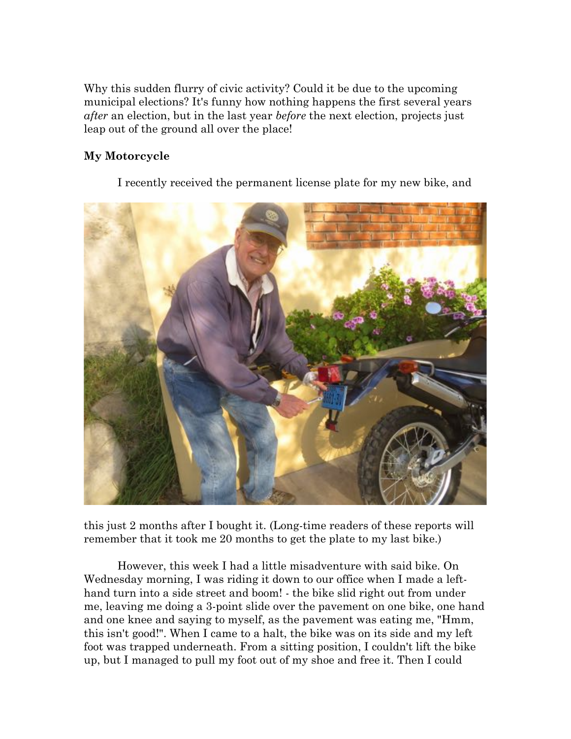Why this sudden flurry of civic activity? Could it be due to the upcoming municipal elections? It's funny how nothing happens the first several years *after* an election, but in the last year *before* the next election, projects just leap out of the ground all over the place!

# **My Motorcycle**

I recently received the permanent license plate for my new bike, and



this just 2 months after I bought it. (Long-time readers of these reports will remember that it took me 20 months to get the plate to my last bike.)

However, this week I had a little misadventure with said bike. On Wednesday morning, I was riding it down to our office when I made a lefthand turn into a side street and boom! - the bike slid right out from under me, leaving me doing a 3-point slide over the pavement on one bike, one hand and one knee and saying to myself, as the pavement was eating me, "Hmm, this isn't good!". When I came to a halt, the bike was on its side and my left foot was trapped underneath. From a sitting position, I couldn't lift the bike up, but I managed to pull my foot out of my shoe and free it. Then I could